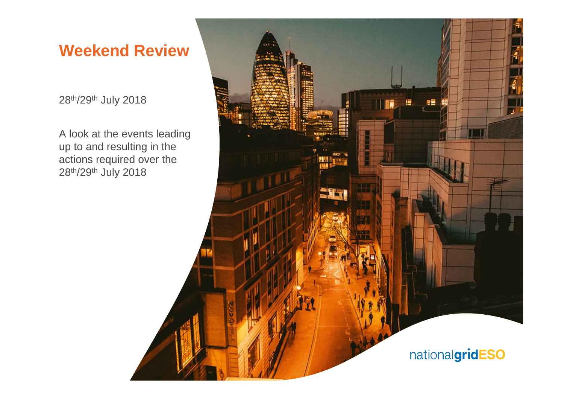# **Weekend Review**

28th/29th July 2018

A look at the events leading up to and resulting in the actions required over the 28th/29th July 2018

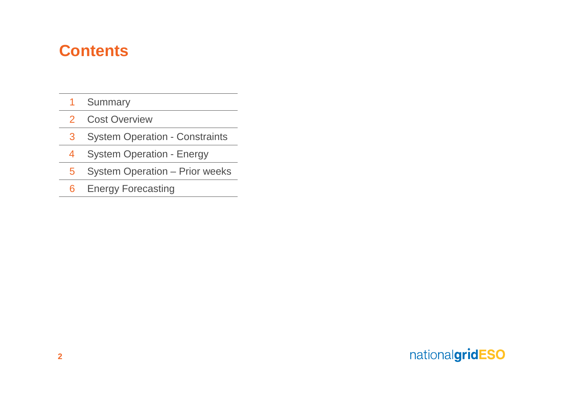# **Contents**

- Summary
- Cost Overview
- System Operation Constraints
- System Operation Energy
- System Operation Prior weeks
- Energy Forecasting

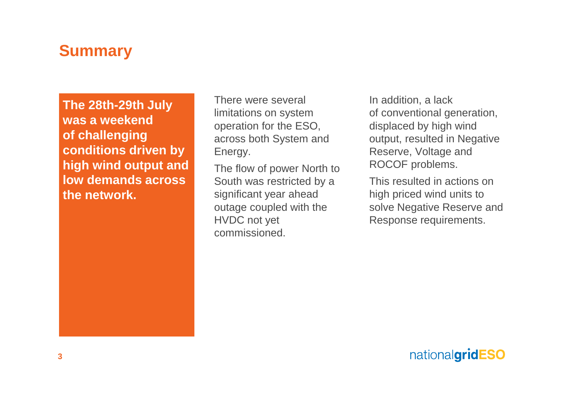# **Summary**

**The 28th-29th July was a weekend of challenging conditions driven by high wind output and low demands across the network.**

There were several limitations on system operation for the ESO, across both System and Energy.

The flow of power North to South was restricted by a significant year ahead outage coupled with the HVDC not yet commissioned.

In addition, a lack of conventional generation, displaced by high wind output, resulted in Negative Reserve, Voltage and ROCOF problems.

This resulted in actions on high priced wind units to solve Negative Reserve and Response requirements.

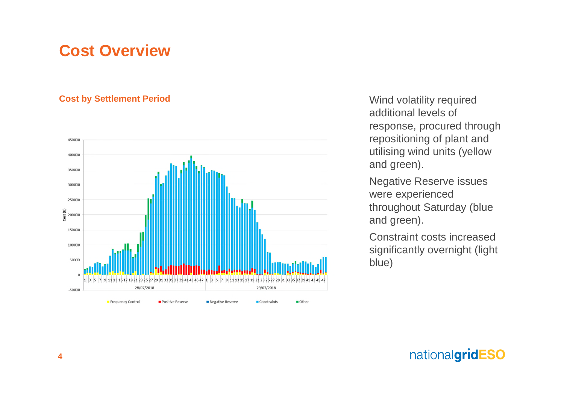# **Cost Overview**

### **Cost by Settlement Period**



Wind volatility required additional levels of response, procured through repositioning of plant and utilising wind units (yellow and green).

Negative Reserve issues were experienced throughout Saturday (blue and green).

Constraint costs increased significantly overnight (light blue)

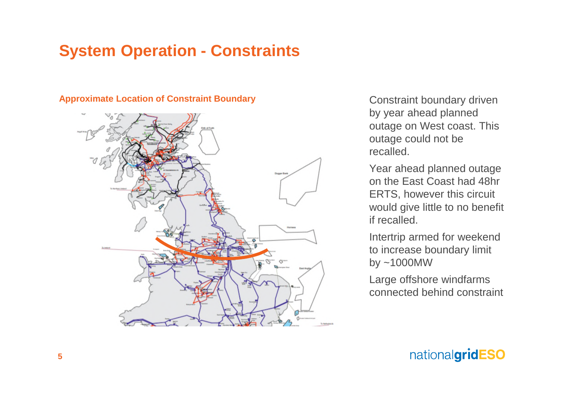## **System Operation - Constraints**

#### **Approximate Location of Constraint Boundary**



Constraint boundary driven by year ahead planned outage on West coast. This outage could not be recalled.

Year ahead planned outage on the East Coast had 48hr ERTS, however this circuit would give little to no benefit if recalled.

Intertrip armed for weekend to increase boundary limit by ~1000MW

Large offshore windfarms connected behind constraint

## nationalgridESO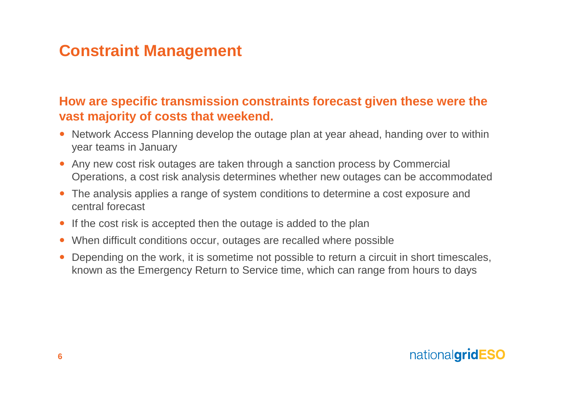# **Constraint Management**

### **How are specific transmission constraints forecast given these were the vast majority of costs that weekend.**

- Network Access Planning develop the outage plan at year ahead, handing over to within year teams in January
- Any new cost risk outages are taken through a sanction process by Commercial Operations, a cost risk analysis determines whether new outages can be accommodated
- The analysis applies a range of system conditions to determine a cost exposure and central forecast
- If the cost risk is accepted then the outage is added to the plan
- When difficult conditions occur, outages are recalled where possible
- Depending on the work, it is sometime not possible to return a circuit in short timescales, known as the Emergency Return to Service time, which can range from hours to days

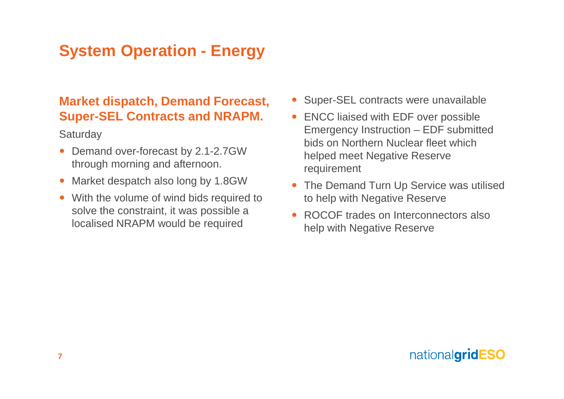# **System Operation - Energy**

### **Market dispatch, Demand Forecast, Super-SEL Contracts and NRAPM.**

**Saturday** 

- Demand over-forecast by 2.1-2.7GW through morning and afternoon.
- Market despatch also long by 1.8GW
- With the volume of wind bids required to solve the constraint, it was possible a localised NRAPM would be required
- Super-SEL contracts were unavailable
- ENCC liaised with EDF over possible Emergency Instruction – EDF submitted bids on Northern Nuclear fleet which helped meet Negative Reserve requirement
- The Demand Turn Up Service was utilised to help with Negative Reserve
- ROCOF trades on Interconnectors also help with Negative Reserve

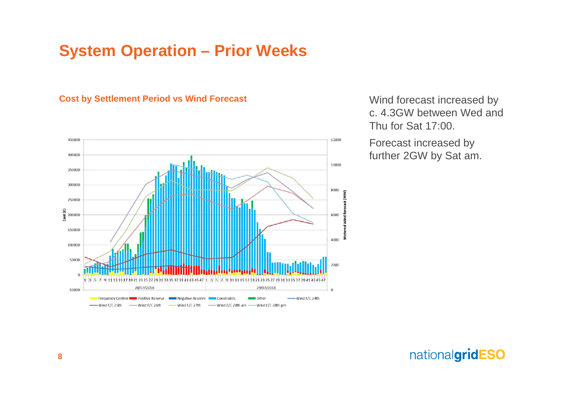#### **Cost by Settlement Period vs Wind Forecast**



Wind forecast increased by c. 4.3GW between Wed and Thu for Sat 17:00.

Forecast increased by further 2GW by Sat am.

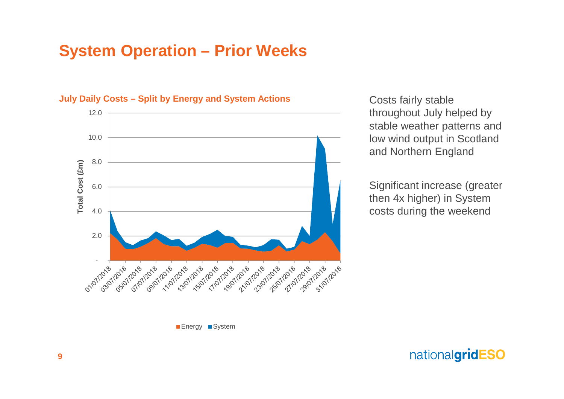

**July Daily Costs – Split by Energy and System Actions**

Costs fairly stable throughout July helped by stable weather patterns and low wind output in Scotland and Northern England

Significant increase (greater then 4x higher) in System costs during the weekend

Energy System

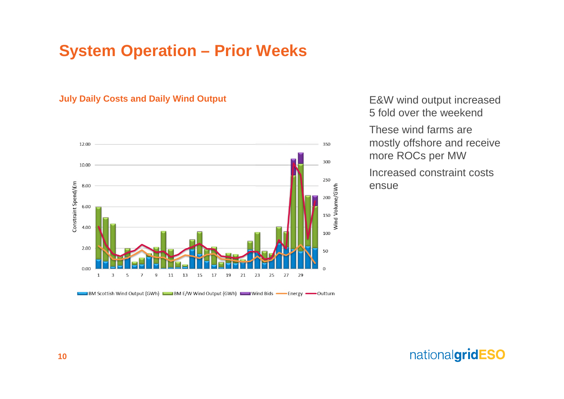### **July Daily Costs and Daily Wind Output**



BM Scottish Wind Output (GWh) BM E/W Wind Output (GWh) Wind Bids Content Coutturn

E&W wind output increased 5 fold over the weekend

These wind farms are mostly offshore and receive more ROCs per MW

Increased constraint costs ensue

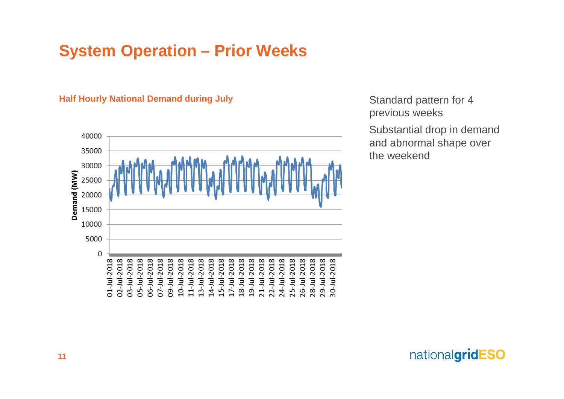#### **Half Hourly National Demand during July**



Standard pattern for 4 previous weeks Substantial drop in demand and abnormal shape over the weekend

nationalgridESO